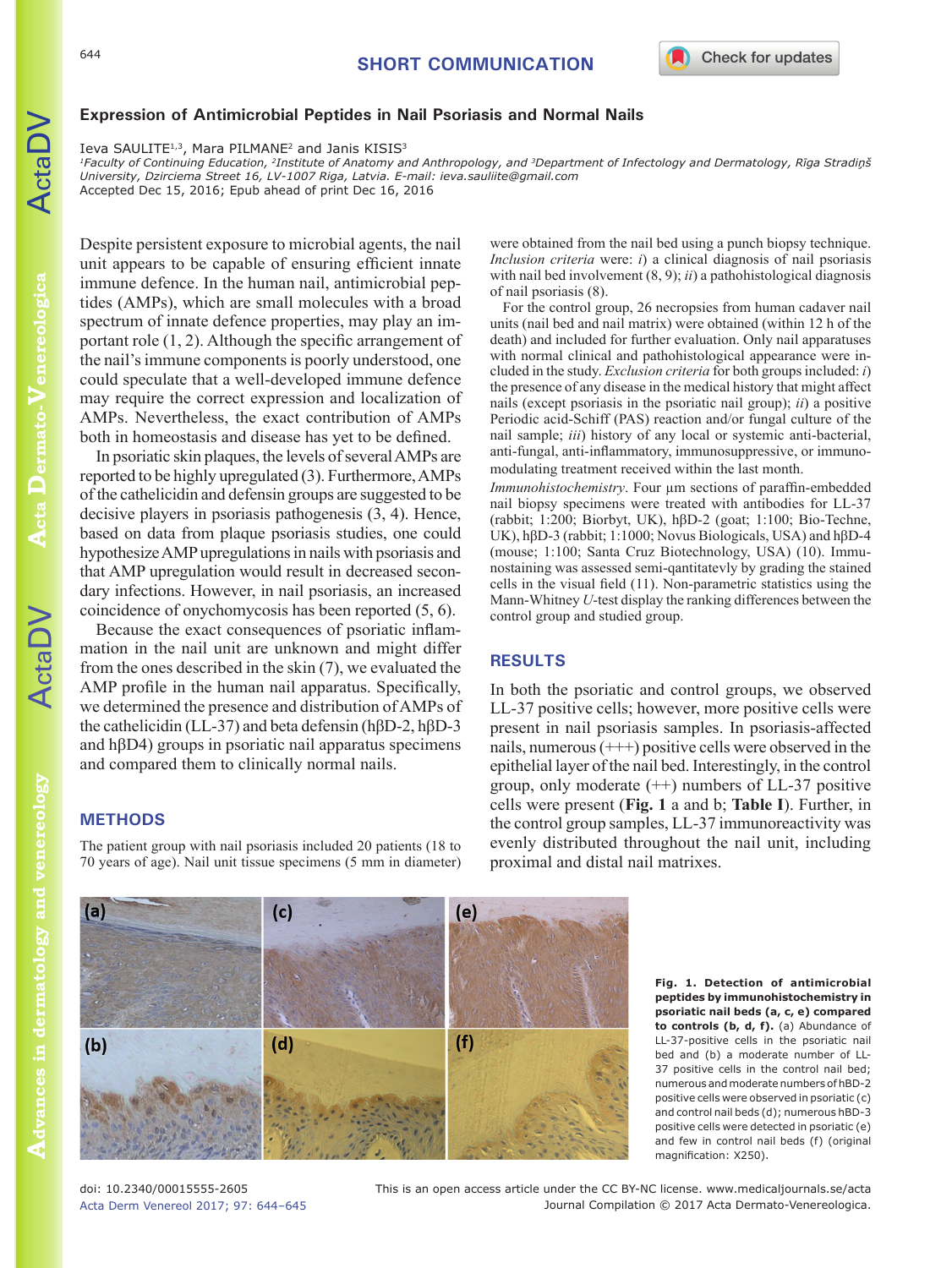

# **Expression of Antimicrobial Peptides in Nail Psoriasis and Normal Nails**

Ieva SAULITE<sup>1,3</sup>, Mara PILMANE<sup>2</sup> and Janis KISIS<sup>3</sup>

*1Faculty of Continuing Education, 2Institute of Anatomy and Anthropology, and 3Department of Infectology and Dermatology, Rīga Stradiņš University, Dzirciema Street 16, LV-1007 Riga, Latvia. E-mail: [ieva.sauliite@gmail.com](mailto:ieva.sauliite@gmail.com)* Accepted Dec 15, 2016; Epub ahead of print Dec 16, 2016

Despite persistent exposure to microbial agents, the nail unit appears to be capable of ensuring efficient innate immune defence. In the human nail, antimicrobial peptides (AMPs), which are small molecules with a broad spectrum of innate defence properties, may play an important role (1, 2). Although the specific arrangement of the nail's immune components is poorly understood, one could speculate that a well-developed immune defence may require the correct expression and localization of AMPs. Nevertheless, the exact contribution of AMPs both in homeostasis and disease has yet to be defined.

In psoriatic skin plaques, the levels of several AMPs are reported to be highly upregulated (3). Furthermore, AMPs of the cathelicidin and defensin groups are suggested to be decisive players in psoriasis pathogenesis (3, 4). Hence, based on data from plaque psoriasis studies, one could hypothesize AMP upregulations in nails with psoriasis and that AMP upregulation would result in decreased secondary infections. However, in nail psoriasis, an increased coincidence of onychomycosis has been reported (5, 6).

Because the exact consequences of psoriatic inflammation in the nail unit are unknown and might differ from the ones described in the skin (7), we evaluated the AMP profile in the human nail apparatus. Specifically, we determined the presence and distribution of AMPs of the cathelicidin (LL-37) and beta defensin (hβD-2, hβD-3 and hβD4) groups in psoriatic nail apparatus specimens and compared them to clinically normal nails.

# **METHODS**

The patient group with nail psoriasis included 20 patients (18 to 70 years of age). Nail unit tissue specimens (5 mm in diameter)

were obtained from the nail bed using a punch biopsy technique. *Inclusion criteria* were: *i*) a clinical diagnosis of nail psoriasis with nail bed involvement (8, 9); *ii*) a pathohistological diagnosis of nail psoriasis (8).

For the control group, 26 necropsies from human cadaver nail units (nail bed and nail matrix) were obtained (within 12 h of the death) and included for further evaluation. Only nail apparatuses with normal clinical and pathohistological appearance were included in the study. *Exclusion criteria* for both groups included: *i*) the presence of any disease in the medical history that might affect nails (except psoriasis in the psoriatic nail group); *ii*) a positive Periodic acid-Schiff (PAS) reaction and/or fungal culture of the nail sample; *iii*) history of any local or systemic anti-bacterial, anti-fungal, anti-inflammatory, immunosuppressive, or immunomodulating treatment received within the last month.

*Immunohistochemistry*. Four µm sections of paraffin-embedded nail biopsy specimens were treated with antibodies for LL-37 (rabbit; 1:200; Biorbyt, UK), hβD-2 (goat; 1:100; Bio-Techne, UK), hβD-3 (rabbit; 1:1000; Novus Biologicals, USA) and hβD-4 (mouse; 1:100; Santa Cruz Biotechnology, USA) (10). Immunostaining was assessed semi-qantitatevly by grading the stained cells in the visual field (11). Non-parametric statistics using the Mann-Whitney *U*-test display the ranking differences between the control group and studied group.

## **RESULTS**

In both the psoriatic and control groups, we observed LL-37 positive cells; however, more positive cells were present in nail psoriasis samples. In psoriasis-affected nails, numerous  $(++)$  positive cells were observed in the epithelial layer of the nail bed. Interestingly, in the control group, only moderate  $(++)$  numbers of LL-37 positive cells were present (**Fig. 1** a and b; **Table I**). Further, in the control group samples, LL-37 immunoreactivity was evenly distributed throughout the nail unit, including proximal and distal nail matrixes.

Acta Derm Venereol 2017; 97: 644–645

doi: 10.2340/00015555-2605

Journal Compilation © 2017 Acta Dermato-Venereologica. This is an open access article under the CC BY-NC license. www.medicaljournals.se/acta positive cells were detected in psoriatic (e) and few in control nail beds (f) (original magnification: X250).

**Fig. 1. Detection of antimicrobial peptides by immunohistochemistry in psoriatic nail beds (a, c, e) compared to controls (b, d, f).** (a) Abundance of LL-37-positive cells in the psoriatic nail bed and (b) a moderate number of LL-37 positive cells in the control nail bed; numerous and moderate numbers of hBD-2 positive cells were observed in psoriatic (c) and control nail beds (d); numerous hBD-3



**Acta** 

**Dermato-**

**Venereologica**